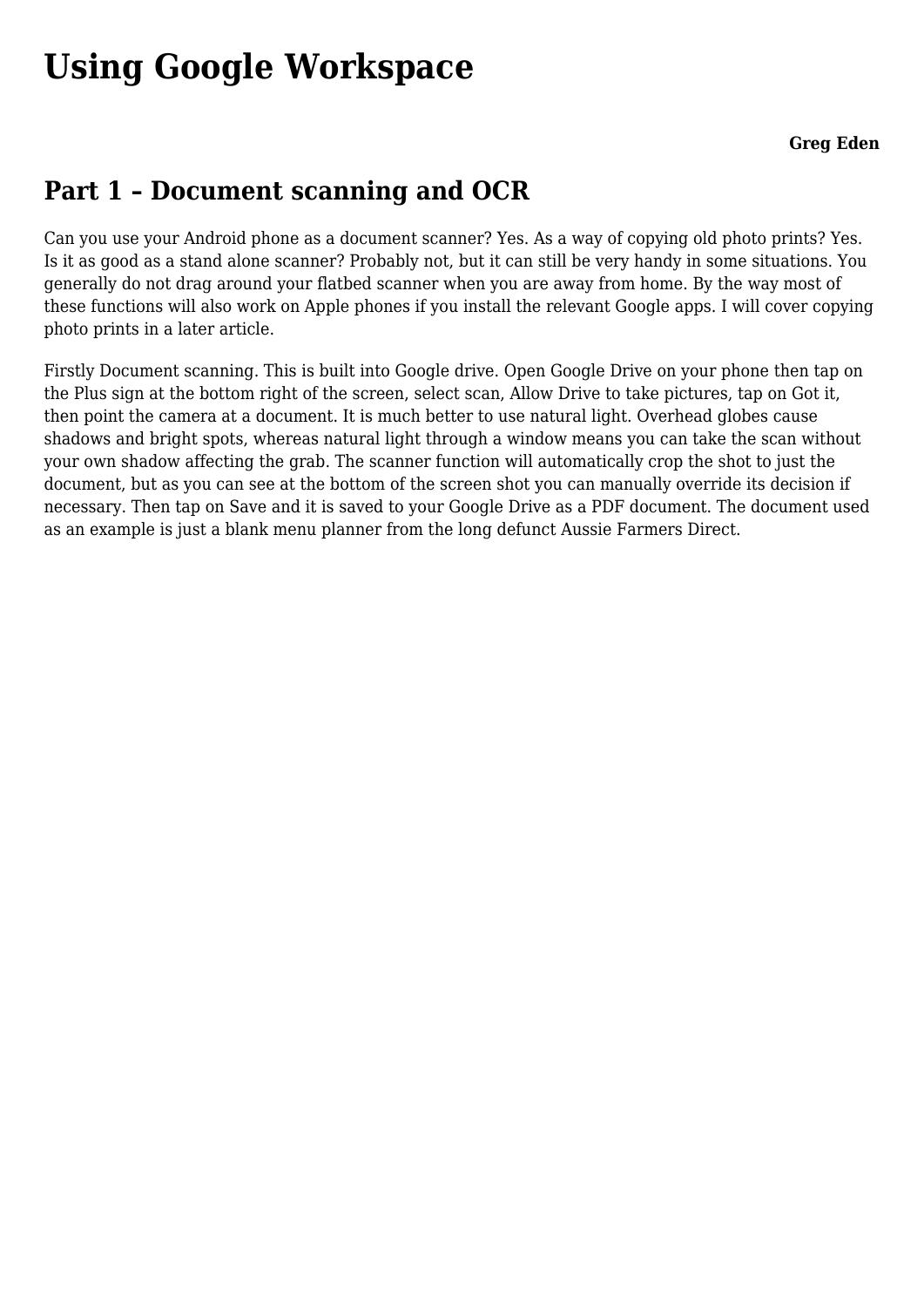# **[Using Google Workspace](https://www.melbpc.org.au/using-google-workspace/)**

## **Part 1 – Document scanning and OCR**

Can you use your Android phone as a document scanner? Yes. As a way of copying old photo prints? Yes. Is it as good as a stand alone scanner? Probably not, but it can still be very handy in some situations. You generally do not drag around your flatbed scanner when you are away from home. By the way most of these functions will also work on Apple phones if you install the relevant Google apps. I will cover copying photo prints in a later article.

Firstly Document scanning. This is built into Google drive. Open Google Drive on your phone then tap on the Plus sign at the bottom right of the screen, select scan, Allow Drive to take pictures, tap on Got it, then point the camera at a document. It is much better to use natural light. Overhead globes cause shadows and bright spots, whereas natural light through a window means you can take the scan without your own shadow affecting the grab. The scanner function will automatically crop the shot to just the document, but as you can see at the bottom of the screen shot you can manually override its decision if necessary. Then tap on Save and it is saved to your Google Drive as a PDF document. The document used as an example is just a blank menu planner from the long defunct Aussie Farmers Direct.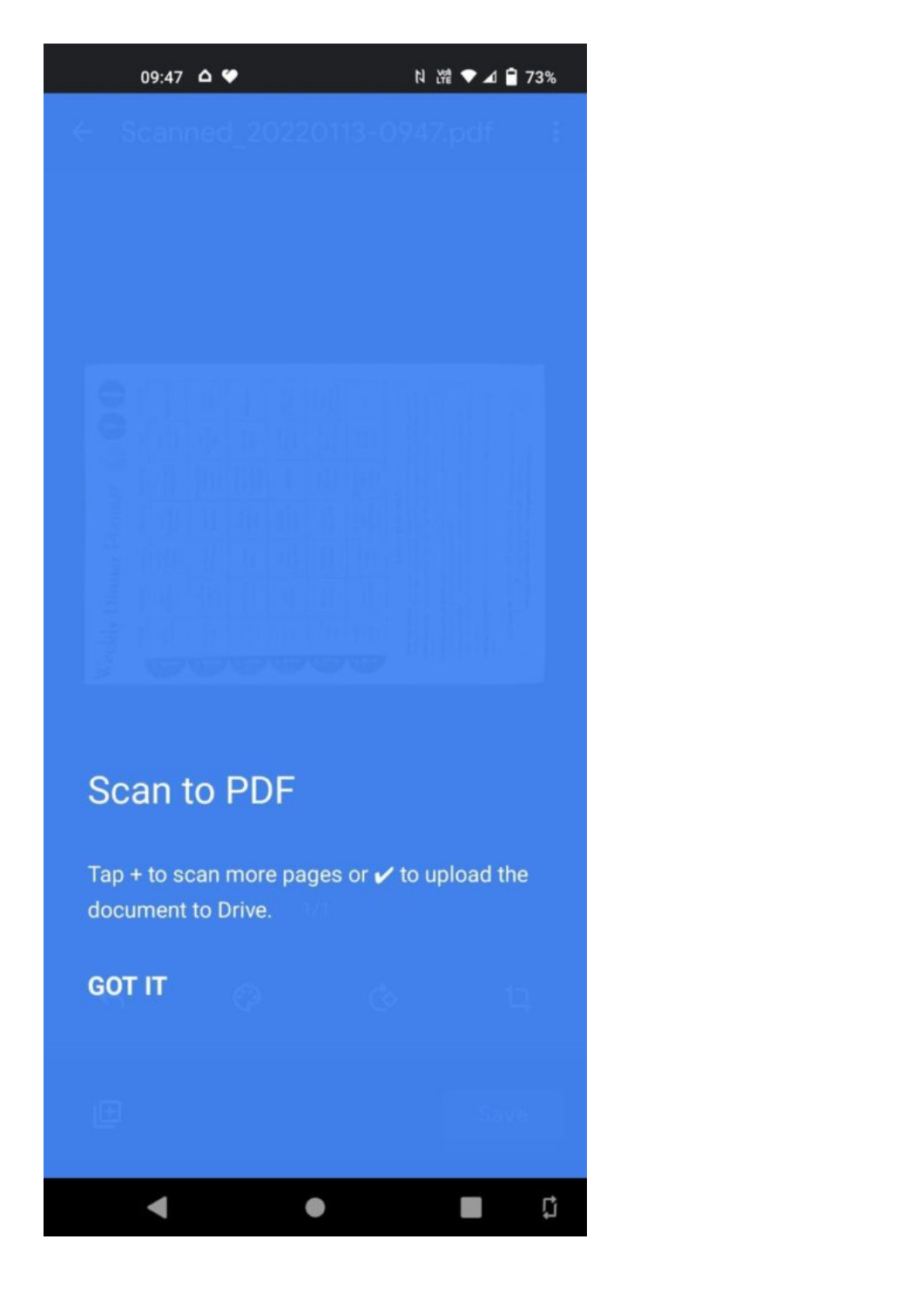### $09:47$   $\Delta$   $\blacktriangleright$

N 常 ♥ ▲ 自 73%

# **Scan to PDF**

Tap + to scan more pages or  $\checkmark$  to upload the document to Drive.

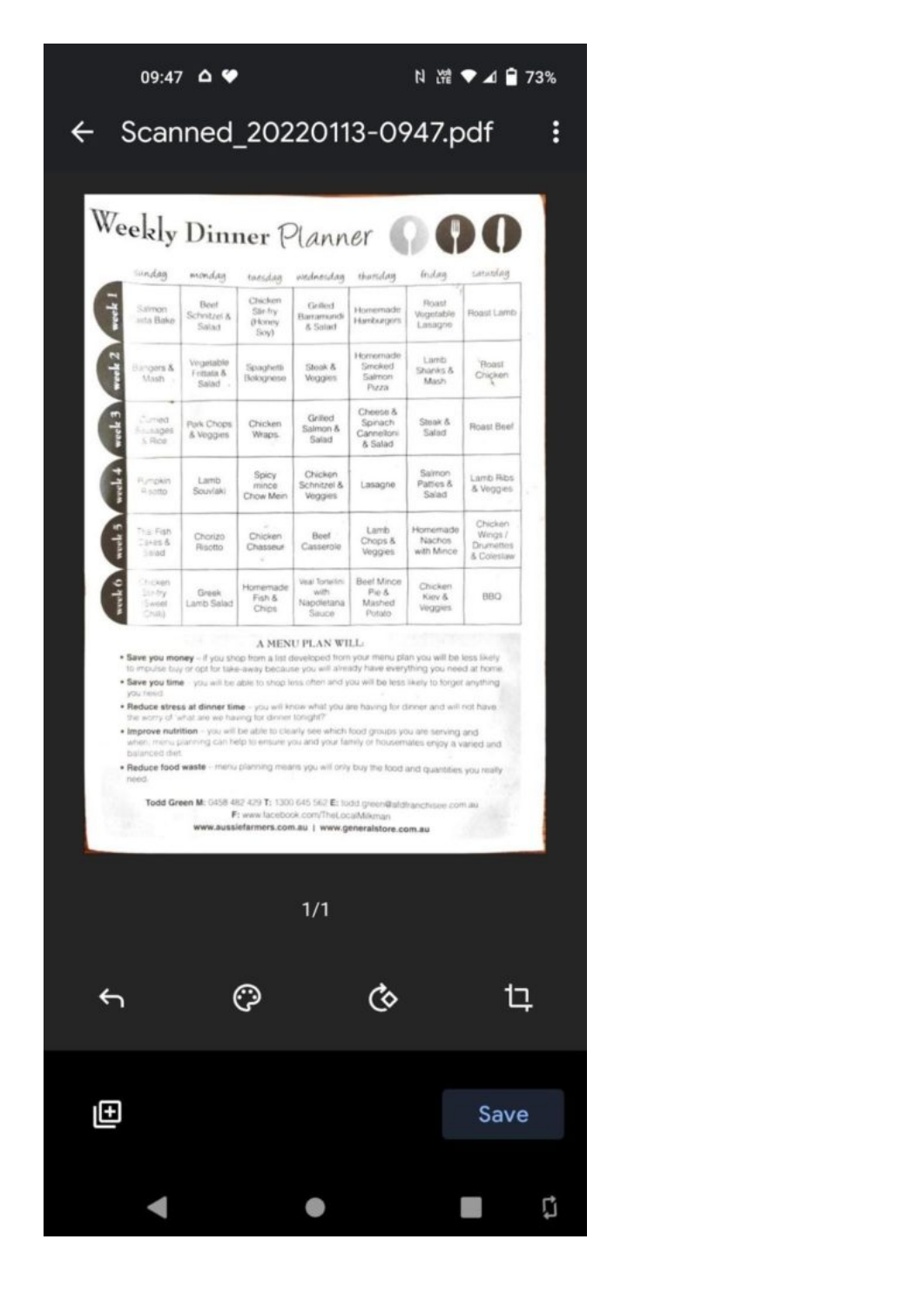### $09:47$   $\Delta$   $\blacktriangleright$

### N 常 ♥ 4 日 73%

å

### Scanned\_20220113-0947.pdf  $\leftarrow$

| Sindan                                 | mondan                             | taesdan                                 | washnesdag                                      | thartdan                                     | <i><u><b>Endary</b></u></i>          | smithe                                        |
|----------------------------------------|------------------------------------|-----------------------------------------|-------------------------------------------------|----------------------------------------------|--------------------------------------|-----------------------------------------------|
| Salmon<br>anta Bake                    | Beet<br>Schnitzel &<br>Salad       | Chicken<br>Stir-fry<br>(Homey)<br>Soyl- | Griffed<br>Barramundi<br>& Salad                | Homemade<br>Hamburgers                       | Roset<br>Worpertaible<br>Lasagne     | Roast Lamb                                    |
| Bangers &<br>Mash -                    | Vegetable<br>Frittata &<br>Salad - | Spaghetti<br>Bolognese                  | Shook &<br>Veggies                              | Homemade<br>Smoked<br>Salmon<br>Pizza        | Lamb<br>Shanks &<br>Mash             | 'Floast<br>Chicken                            |
| Curried<br><b>Frustages</b><br>5. Rice | Park Chops<br>& Veggies            | Chicken<br>Wraps.                       | Grilled<br>Salmon &<br>Salad                    | Слиния &<br>Spinach<br>Cannelloni<br>& Salad | Streak &<br>Salad                    | Roast Beef                                    |
| <b>Fumpkin</b><br>A satto              | Lamb<br>Souviaki                   | Spicy<br>minoe<br>Chow Mein             | Chicken<br>Schnitzel &<br>Veggies               | Lasagne                                      | Salmon.<br>Patties &<br>Salad        | Lamb Ribs<br>& Veggies                        |
| That Fish<br>$3.25 + 0.7$<br>5000      | Chorizo<br>Risotto                 | Chicken<br>Chasseur                     | Boet<br>Casserble                               | Lamb<br>Chops &<br>Veggies                   | Homemade<br>Nachos<br>with Mince     | Chicken<br>Wings /<br>Drumettes<br>& Colestaw |
| Chicken<br>10.5%<br>Sweet<br>Child     | Greek<br>Lamb Salad                | Homemade<br>Fish &<br>Chips             | Veal Tortellini<br>WAT!<br>Napoletana<br>Sinuce | Beef Mince<br>Pip &<br>Mashed<br>Potato      | Chicken.<br>Kiov &<br><b>Veggies</b> | <b>DBB</b>                                    |

### A MENU PLAN WILL:

\* Save you money - if you shop from a list developed from your menu plan you will be less likely<br>to mpulse buy or opt for take-away because you will already have everything you need at home.

. Save you time - you will be able to shop less often and you will be less likely to forget anything MOLD.

. Reduce stress at dinner time - you will know which you are having for dinner and will not have. The worry of what are we having for dinner tonight?"

. Improve nutrition - you will be able to clearly see which food groups you are serving and<br>when, menu planning can help to ensure you and your family or housemates enjoy a varied and balanced diet

. Reduce food waste - menu planning means you will only buy the food and quantities you really need

Todd Green M: 0458 482 429 T: 1300 645 562 E: fodd green@afdhanchiser.com.au F: www.facebook.com/TheLocalMikman www.aussiefarmers.com.au | www.generalstore.com.au

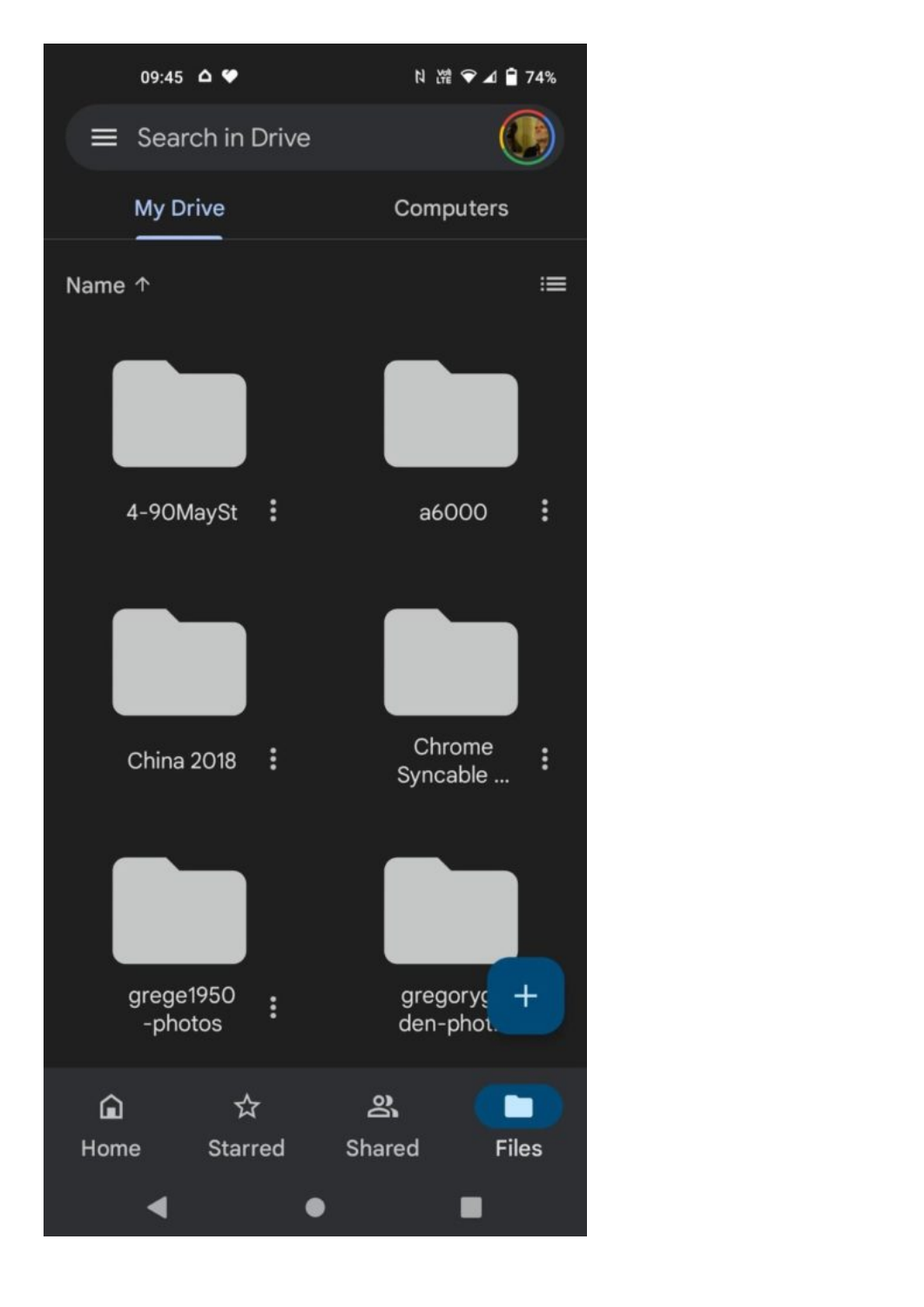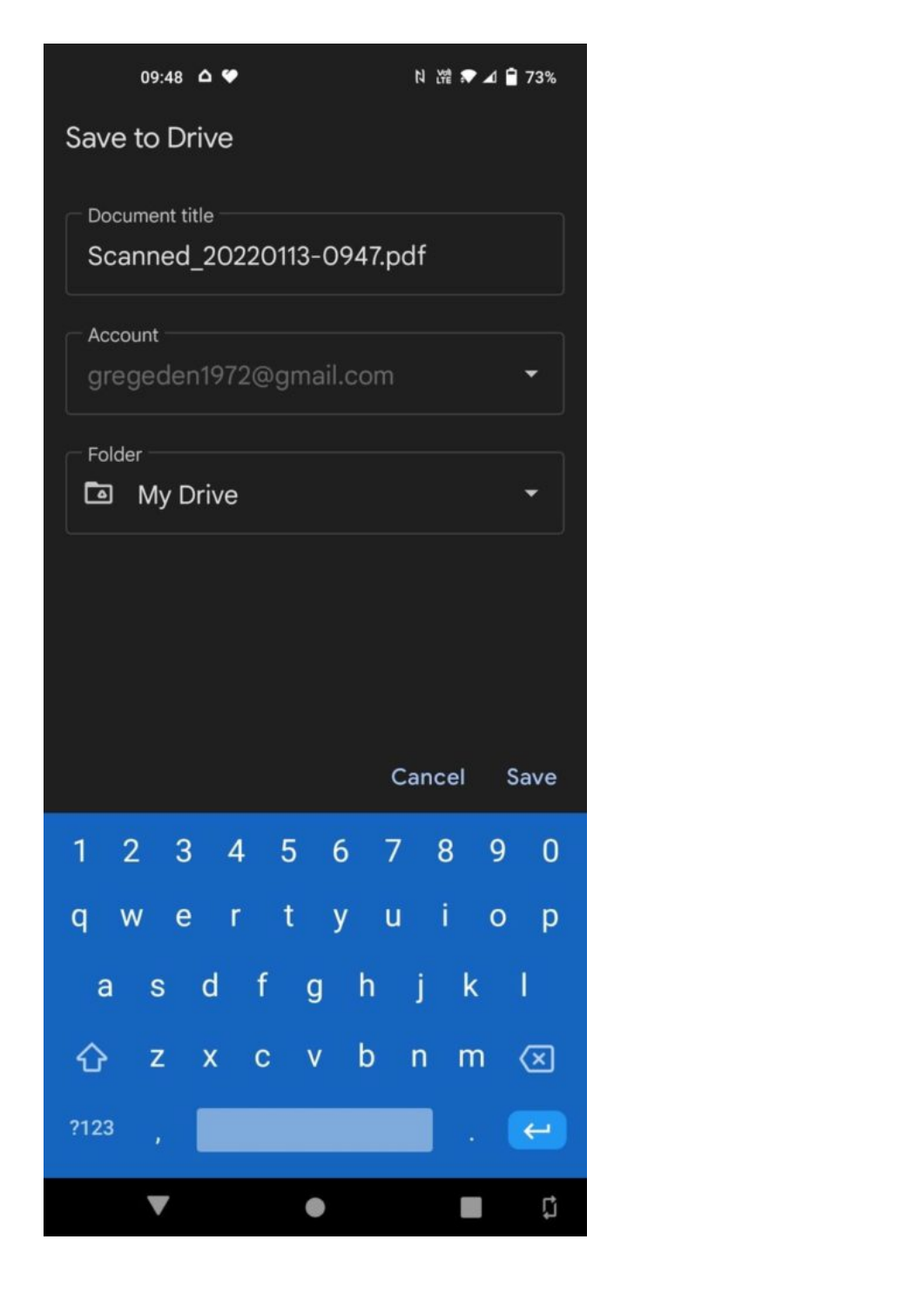| $09:48$ $\Delta$ $\blacktriangleright$                                     | 2 路 ● △ 日 73%            |  |  |  |  |  |
|----------------------------------------------------------------------------|--------------------------|--|--|--|--|--|
| Save to Drive                                                              |                          |  |  |  |  |  |
| Document title                                                             |                          |  |  |  |  |  |
| Scanned_20220113-0947.pdf                                                  |                          |  |  |  |  |  |
| Account                                                                    |                          |  |  |  |  |  |
| gregeden1972@gmail.com                                                     |                          |  |  |  |  |  |
| Folder                                                                     |                          |  |  |  |  |  |
| My Drive<br>⊡                                                              |                          |  |  |  |  |  |
|                                                                            |                          |  |  |  |  |  |
|                                                                            |                          |  |  |  |  |  |
|                                                                            |                          |  |  |  |  |  |
|                                                                            | Cancel<br>Save           |  |  |  |  |  |
| 6 <sup>7</sup><br>$\overline{2}$<br>3<br>$\overline{4}$<br>$-5$<br>1<br>ř. | 8<br>9<br>$\mathbf 0$    |  |  |  |  |  |
|                                                                            |                          |  |  |  |  |  |
| t<br>r<br>ū<br>e<br>y<br>q<br>W                                            | İ<br>O<br>p              |  |  |  |  |  |
| $\mathsf{f}$<br>h<br>d<br>g<br>a<br>$\mathbf S$                            | I<br>j<br>k              |  |  |  |  |  |
| b<br>X<br>V<br>Z<br>C<br>⇧                                                 | n<br>m<br>⊗              |  |  |  |  |  |
| ?123<br>í,                                                                 | $\overline{\phantom{0}}$ |  |  |  |  |  |
|                                                                            | Ū                        |  |  |  |  |  |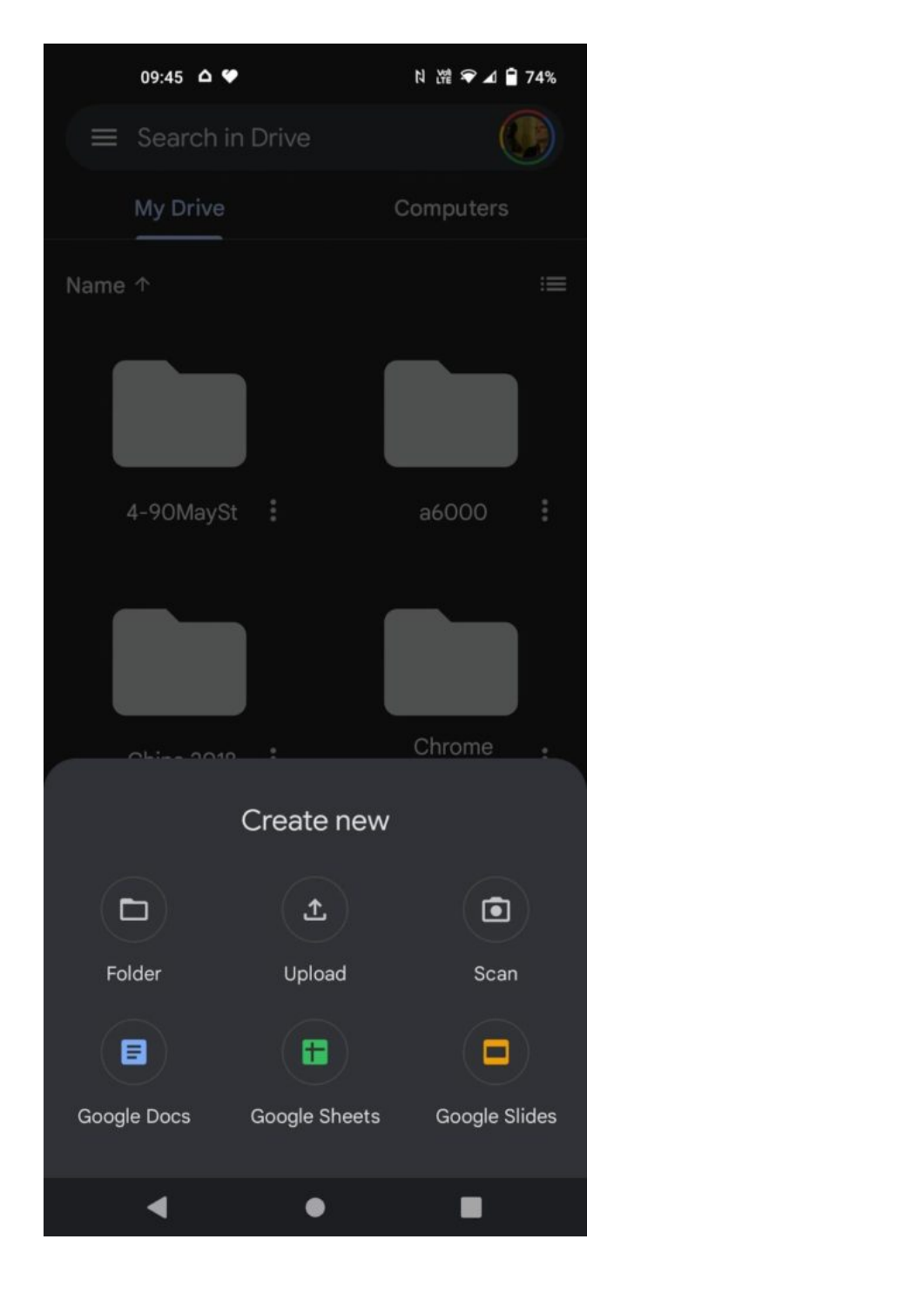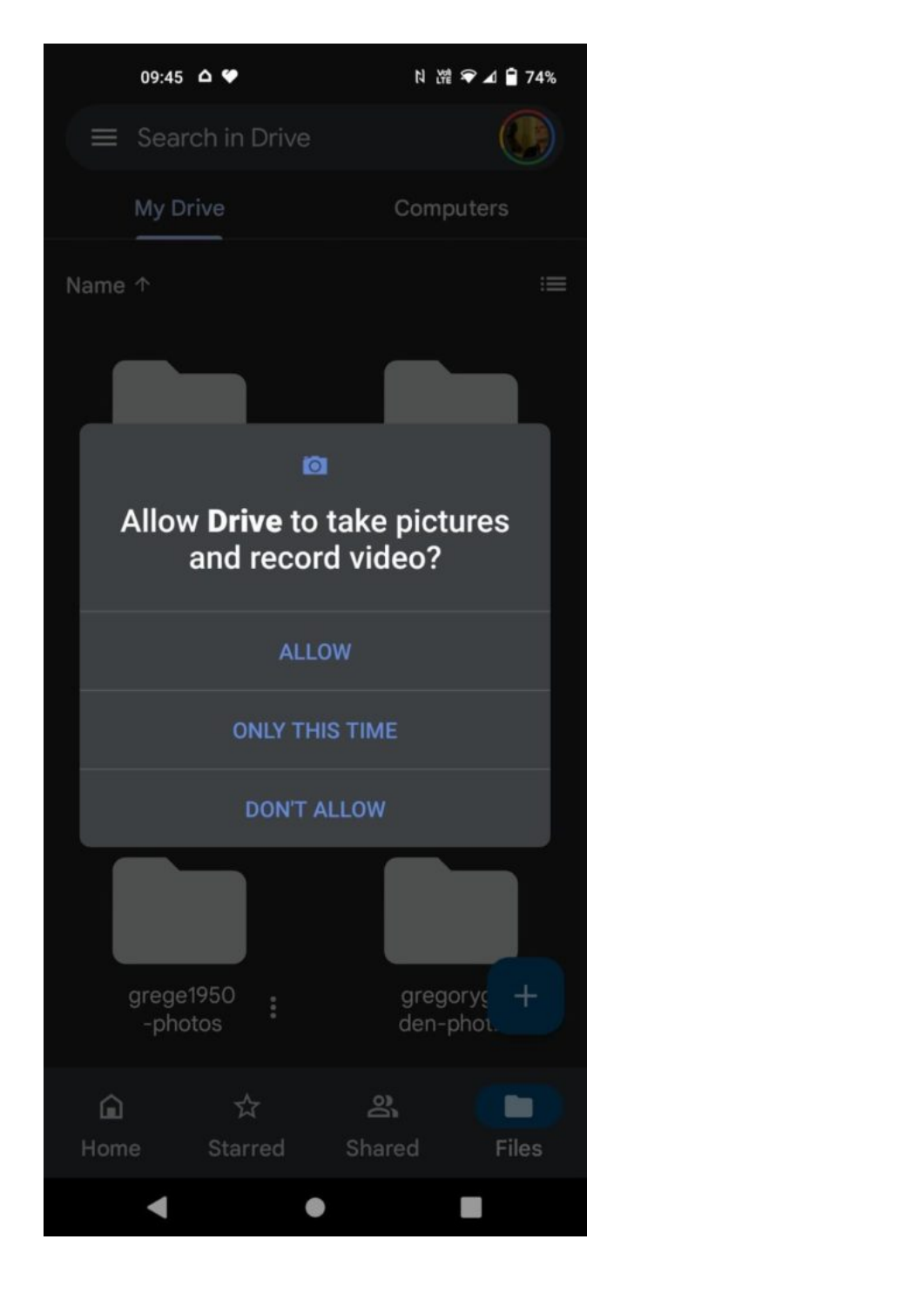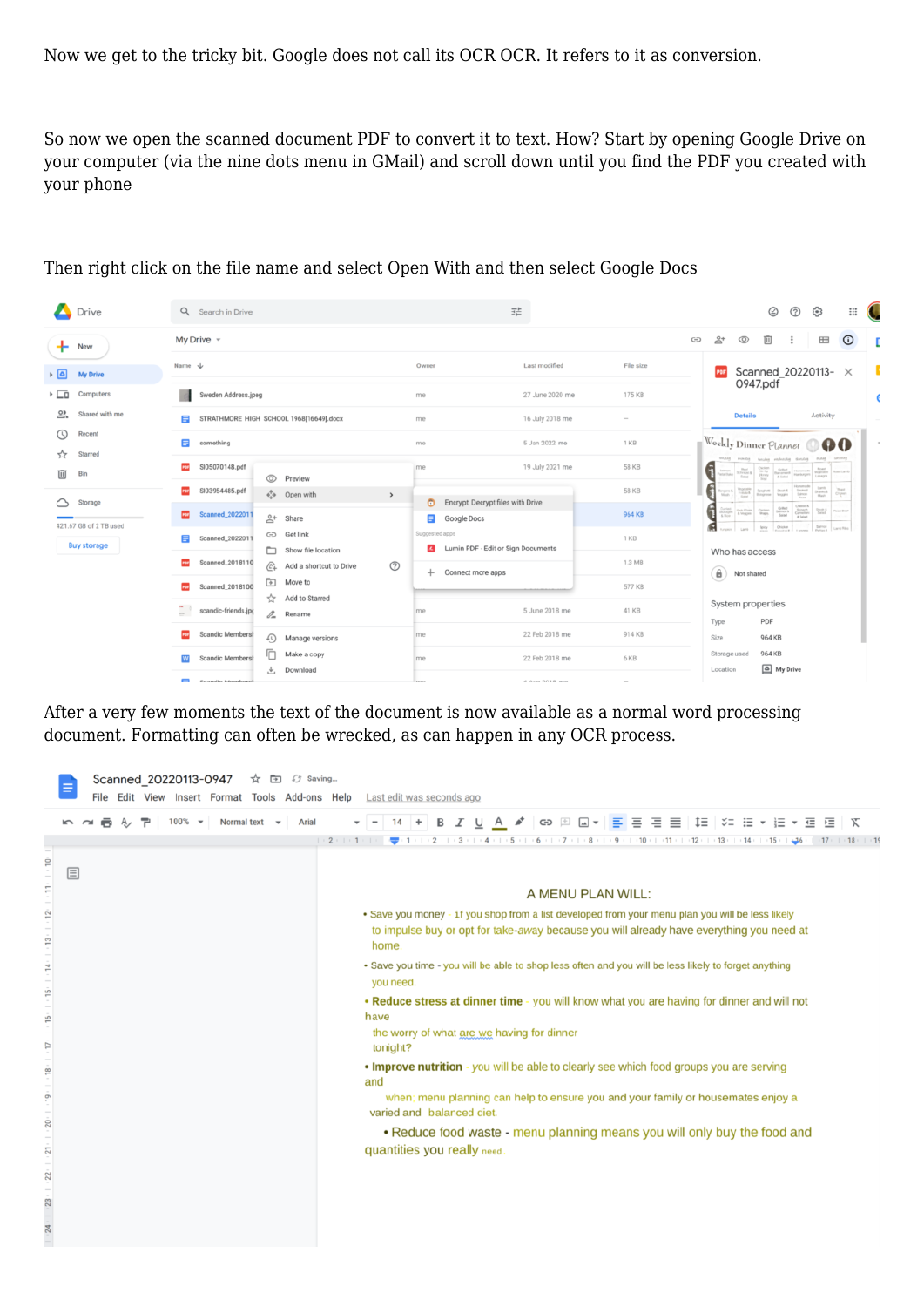Now we get to the tricky bit. Google does not call its OCR OCR. It refers to it as conversion.

So now we open the scanned document PDF to convert it to text. How? Start by opening Google Drive on your computer (via the nine dots menu in GMail) and scroll down until you find the PDF you created with your phone

| Drive                             | Q Search in Drive                                                                          | 荘                                                    | ☺<br>$\circledR$                                                                                                                                                                                                                                                                                                                                                                                                            | $\mathop{\mathbb{H}}$<br>ල                                                                                                                                                                                                                    |  |
|-----------------------------------|--------------------------------------------------------------------------------------------|------------------------------------------------------|-----------------------------------------------------------------------------------------------------------------------------------------------------------------------------------------------------------------------------------------------------------------------------------------------------------------------------------------------------------------------------------------------------------------------------|-----------------------------------------------------------------------------------------------------------------------------------------------------------------------------------------------------------------------------------------------|--|
| $+$ New                           | My Drive $-$                                                                               |                                                      | 음+<br>$\boxed{11}$<br>GD<br>⊚                                                                                                                                                                                                                                                                                                                                                                                               | $\odot$<br>田                                                                                                                                                                                                                                  |  |
| $\mathbf{B}$<br><b>My Drive</b>   | Name J                                                                                     | Last modified<br>Owner                               | File size<br>Scanned 20220113- ×                                                                                                                                                                                                                                                                                                                                                                                            |                                                                                                                                                                                                                                               |  |
| ▸ ⊑ū<br>Computers                 | Sweden Address.jpeg                                                                        | 27 June 2020 me<br>me                                | 0947.pdf<br>175 KB                                                                                                                                                                                                                                                                                                                                                                                                          |                                                                                                                                                                                                                                               |  |
| ౣ<br>Shared with me               | STRATHMORE HIGH SCHOOL 1968[16649].docx<br>目                                               | 16 July 2018 me<br>me                                | <b>Details</b><br>$\sim$                                                                                                                                                                                                                                                                                                                                                                                                    | Activity                                                                                                                                                                                                                                      |  |
| Recent<br>$\odot$<br>Starred<br>☆ | 曰<br>something                                                                             | 5 Jan 2022 me<br>me                                  | Weekly Dinner Planner<br>1 KB                                                                                                                                                                                                                                                                                                                                                                                               | 00                                                                                                                                                                                                                                            |  |
| 面<br>Bin                          | SI05070148.pdf<br>œ<br>C Preview                                                           | 19 July 2021 me<br>me                                | phone pulsation salured planet pilotic<br>58 KB<br>$\begin{tabular}{c c c c} \bf{Red} & \bf{O} & \bf{O} & \bf{O} & \bf{O} & \bf{O} \\ \bf{O} & \bf{O} & \bf{O} & \bf{O} & \bf{O} & \bf{O} \\ \bf{O} & \bf{O} & \bf{O} & \bf{O} & \bf{O} \\ \bf{O} & \bf{O} & \bf{O} & \bf{O} & \bf{O} \\ \bf{O} & \bf{O} & \bf{O} & \bf{O} & \bf{O} \\ \bf{O} & \bf{O} & \bf{O} & \bf{O} & \bf{O} \\ \bf{O} & \bf{O} & \bf$<br>G<br>ana may |                                                                                                                                                                                                                                               |  |
| Storage                           | SI03954485.pdf<br>+ Open with<br>$\,$                                                      | Encrypt, Decrypt files with Drive                    | Ingenite Spagnett Steat &<br><b>58 KB</b><br>$\begin{array}{l} \frac{1-\alpha+\alpha+1}{1-\alpha+\alpha+1} \\ \frac{1-\alpha+\alpha+1}{1-\alpha+\alpha+1} \end{array}$<br>begren K                                                                                                                                                                                                                                          | $\begin{tabular}{ c c c c } \hline & $L_{\rm{B}}(0)$ & $L_{\rm{B}}(0)$ & $L_{\rm{B}}(0)$ \\ \hline $L_{\rm{B}}(0)$ & $L_{\rm{B}}(0)$ & $L_{\rm{B}}(0)$ \\ \hline $L_{\rm{B}}(0)$ & $L_{\rm{B}}(0)$ & $L_{\rm{B}}(0)$ \\ \hline \end{tabular}$ |  |
| 421.67 GB of 2 TB used            | Scanned_2022011<br><b>POP</b><br>$\mathbb{R}^+$<br>Share                                   | Google Docs                                          | Chesso &<br>Sprach<br>Genetian<br>6<br>$\frac{64nt}{5000}$<br><b>Current Park Chaps Chemen</b><br>Action & Impgress Shington<br>964 KB<br>ଶ<br><b>Secy</b><br>Older                                                                                                                                                                                                                                                         | Deal & Four-Boy<br>Salvon <sub>, Lang Ros</sub>                                                                                                                                                                                               |  |
| <b>Buy storage</b>                | GD Get link<br>Scanned_2022011<br>Show file location                                       | Suggested apps<br>Lumin PDF - Edit or Sign Documents | 1 KB<br>Who has access                                                                                                                                                                                                                                                                                                                                                                                                      |                                                                                                                                                                                                                                               |  |
|                                   | Scanned_2018110<br>mar.<br>$^{\circ}$<br>$\widehat{\mathcal{L}}_+$ Add a shortcut to Drive | + Connect more apps                                  | 1.3 MB<br>$\bigcirc$ Not shared                                                                                                                                                                                                                                                                                                                                                                                             |                                                                                                                                                                                                                                               |  |
|                                   | $\overline{F}$<br>Move to<br>Scanned_2018100<br><b>POP</b><br>Y.<br>Add to Starred         |                                                      | 577 KB                                                                                                                                                                                                                                                                                                                                                                                                                      |                                                                                                                                                                                                                                               |  |
|                                   | $\frac{1}{2}$ scandic-friends.jpg<br>$\n  L$ Rename                                        | 5 June 2018 me<br>me                                 | System properties<br>41 KB<br>PDF<br>Type                                                                                                                                                                                                                                                                                                                                                                                   |                                                                                                                                                                                                                                               |  |
|                                   | <b>Scandic Membersh</b><br>m<br>⊕<br>Manage versions                                       | 22 Feb 2018 me<br>me                                 | 914 KB<br>964 KB<br>Size                                                                                                                                                                                                                                                                                                                                                                                                    |                                                                                                                                                                                                                                               |  |
|                                   | Make a copy<br>Scandic Membersh<br>W<br>Download<br>÷.                                     | 22 Feb 2018 me<br>me                                 | 964 KB<br>Storage used<br>6 KB<br>My Drive<br>Location                                                                                                                                                                                                                                                                                                                                                                      |                                                                                                                                                                                                                                               |  |
|                                   | El Connelio Mombord                                                                        | 4 Aug 9010 avs<br>and its                            | $\overline{\phantom{a}}$                                                                                                                                                                                                                                                                                                                                                                                                    |                                                                                                                                                                                                                                               |  |

Then right click on the file name and select Open With and then select Google Docs

After a very few moments the text of the document is now available as a normal word processing document. Formatting can often be wrecked, as can happen in any OCR process.

| Scanned 20220113-0947<br>$\overline{a}$<br>55 Saving<br>₩<br>Edit View Insert Format Tools Add-ons Help<br>Last edit was seconds ago<br>File |                                                                                                                                                                                                                                                                           |  |  |  |  |  |  |  |
|----------------------------------------------------------------------------------------------------------------------------------------------|---------------------------------------------------------------------------------------------------------------------------------------------------------------------------------------------------------------------------------------------------------------------------|--|--|--|--|--|--|--|
| $100\%$ $\star$<br>÷.<br>Normal text $\rightarrow$<br>Arial                                                                                  | 14 + B <i>I</i> U <u>A</u> ♪ © ⊞ <b>□ - <mark>Ξ</mark> Ξ Ξ Ξ   İ</b> Ξ   <del>Σ Ξ - Ε Σ</del> Ξ Ξ   Φ   Σ                                                                                                                                                                 |  |  |  |  |  |  |  |
|                                                                                                                                              | $(-2+(-1+(-1)+\frac{1}{2}+1+(-1+2+(-1+3+(-1+6+(-1+5+(-1+6+(-1+2+(-1+9+(-1+10+(-1+11+(-1+12+(-1+34+(-1+5+(-1+24+(-1+34+(-1+34+(-1+34+(-1+34+(-1+34+(-1+34+(-1+34+(-1+34+(-1+34+(-1+34+(-1+34+(-1+34+(-1+34+(-1+34+(-1+34+(-1+34+(-1+34+(-1+34+(-1+34+(-1+34+(-1+34+(-1+34$ |  |  |  |  |  |  |  |
| $\supseteq$<br>⊟<br>F                                                                                                                        | A MENU PLAN WILL:                                                                                                                                                                                                                                                         |  |  |  |  |  |  |  |
| E,<br>E                                                                                                                                      | • Save you money - if you shop from a list developed from your menu plan you will be less likely<br>to impulse buy or opt for take-away because you will already have everything you need at<br>home.                                                                     |  |  |  |  |  |  |  |
| ¥,                                                                                                                                           | . Save you time - you will be able to shop less often and you will be less likely to forget anything<br>you need.                                                                                                                                                         |  |  |  |  |  |  |  |
| ė<br>Ė                                                                                                                                       | . Reduce stress at dinner time - you will know what you are having for dinner and will not<br>have<br>the worry of what are we having for dinner<br>tonight?                                                                                                              |  |  |  |  |  |  |  |
|                                                                                                                                              | . Improve nutrition - you will be able to clearly see which food groups you are serving<br>and                                                                                                                                                                            |  |  |  |  |  |  |  |
| P                                                                                                                                            | when; menu planning can help to ensure you and your family or housemates enjoy a<br>varied and balanced diet.                                                                                                                                                             |  |  |  |  |  |  |  |
| à<br>21                                                                                                                                      | • Reduce food waste - menu planning means you will only buy the food and<br>quantities you really need.                                                                                                                                                                   |  |  |  |  |  |  |  |
| 22                                                                                                                                           |                                                                                                                                                                                                                                                                           |  |  |  |  |  |  |  |
| $\mathbb{Z}^2$                                                                                                                               |                                                                                                                                                                                                                                                                           |  |  |  |  |  |  |  |
|                                                                                                                                              |                                                                                                                                                                                                                                                                           |  |  |  |  |  |  |  |